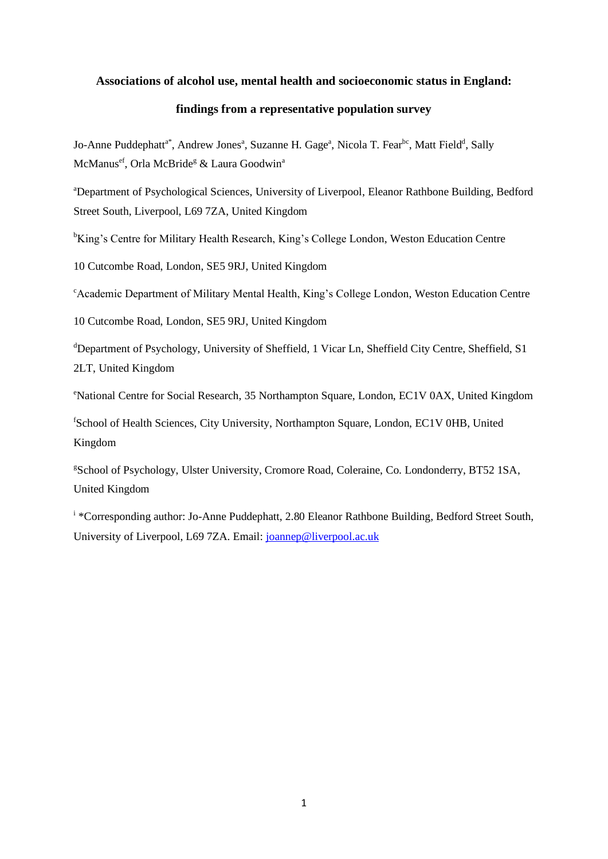#### **Associations of alcohol use, mental health and socioeconomic status in England:**

## **findings from a representative population survey**

Jo-Anne Puddephatt<sup>a\*</sup>, Andrew Jones<sup>a</sup>, Suzanne H. Gage<sup>a</sup>, Nicola T. Fear<sup>bc</sup>, Matt Field<sup>d</sup>, Sally McManus<sup>ef</sup>, Orla McBride<sup>g</sup> & Laura Goodwin<sup>a</sup>

<sup>a</sup>Department of Psychological Sciences, University of Liverpool, Eleanor Rathbone Building, Bedford Street South, Liverpool, L69 7ZA, United Kingdom

<sup>b</sup>King's Centre for Military Health Research, King's College London, Weston Education Centre

10 Cutcombe Road, London, SE5 9RJ, United Kingdom

<sup>c</sup>Academic Department of Military Mental Health, King's College London, Weston Education Centre

10 Cutcombe Road, London, SE5 9RJ, United Kingdom

<sup>d</sup>Department of Psychology, University of Sheffield, 1 Vicar Ln, Sheffield City Centre, Sheffield, S1 2LT, United Kingdom

<sup>e</sup>National Centre for Social Research, 35 Northampton Square, London, EC1V 0AX, United Kingdom

<sup>f</sup>School of Health Sciences, City University, Northampton Square, London, EC1V 0HB, United Kingdom

<sup>g</sup>School of Psychology, Ulster University, Cromore Road, Coleraine, Co. Londonderry, BT52 1SA, United Kingdom

<sup>i</sup> \*Corresponding author: Jo-Anne Puddephatt, 2.80 Eleanor Rathbone Building, Bedford Street South, University of Liverpool, L69 7ZA. Email: [joannep@liverpool.ac.uk](mailto:joannep@liverpool.ac.uk)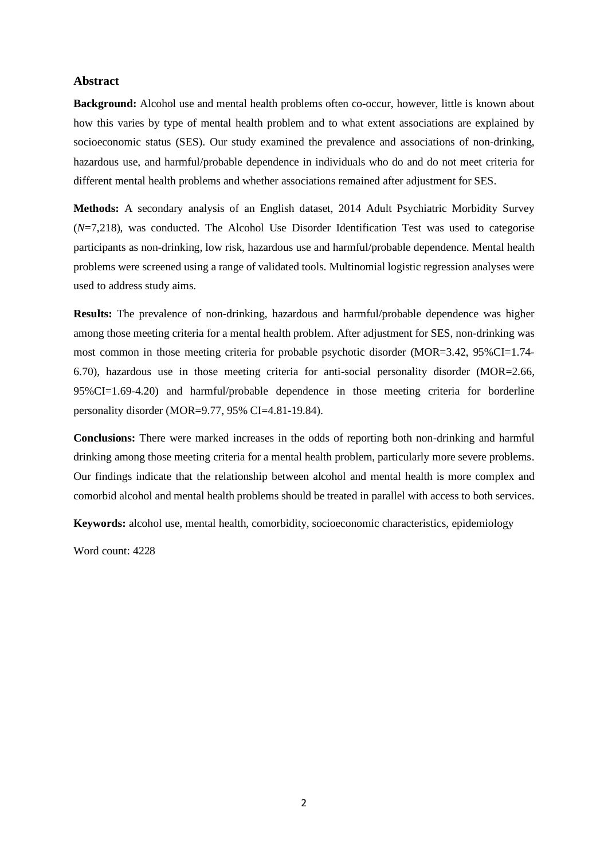## **Abstract**

**Background:** Alcohol use and mental health problems often co-occur, however, little is known about how this varies by type of mental health problem and to what extent associations are explained by socioeconomic status (SES). Our study examined the prevalence and associations of non-drinking, hazardous use, and harmful/probable dependence in individuals who do and do not meet criteria for different mental health problems and whether associations remained after adjustment for SES.

**Methods:** A secondary analysis of an English dataset, 2014 Adult Psychiatric Morbidity Survey (*N*=7,218), was conducted. The Alcohol Use Disorder Identification Test was used to categorise participants as non-drinking, low risk, hazardous use and harmful/probable dependence. Mental health problems were screened using a range of validated tools. Multinomial logistic regression analyses were used to address study aims.

**Results:** The prevalence of non-drinking, hazardous and harmful/probable dependence was higher among those meeting criteria for a mental health problem. After adjustment for SES, non-drinking was most common in those meeting criteria for probable psychotic disorder (MOR=3.42, 95%CI=1.74-6.70), hazardous use in those meeting criteria for anti-social personality disorder (MOR=2.66, 95%CI=1.69-4.20) and harmful/probable dependence in those meeting criteria for borderline personality disorder (MOR=9.77, 95% CI=4.81-19.84).

**Conclusions:** There were marked increases in the odds of reporting both non-drinking and harmful drinking among those meeting criteria for a mental health problem, particularly more severe problems. Our findings indicate that the relationship between alcohol and mental health is more complex and comorbid alcohol and mental health problems should be treated in parallel with access to both services.

**Keywords:** alcohol use, mental health, comorbidity, socioeconomic characteristics, epidemiology

Word count: 4228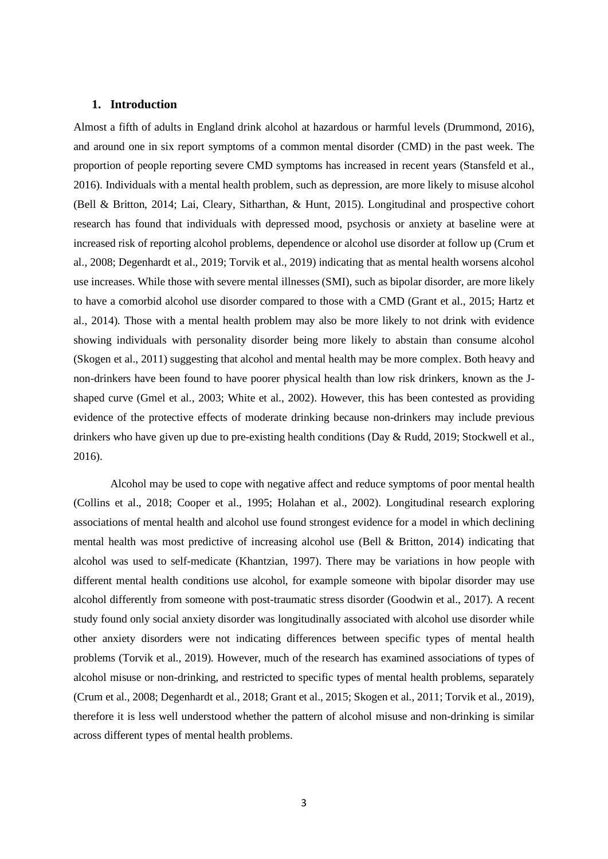#### **1. Introduction**

Almost a fifth of adults in England drink alcohol at hazardous or harmful levels (Drummond, 2016), and around one in six report symptoms of a common mental disorder (CMD) in the past week. The proportion of people reporting severe CMD symptoms has increased in recent years (Stansfeld et al., 2016). Individuals with a mental health problem, such as depression, are more likely to misuse alcohol (Bell & Britton, 2014; Lai, Cleary, Sitharthan, & Hunt, 2015). Longitudinal and prospective cohort research has found that individuals with depressed mood, psychosis or anxiety at baseline were at increased risk of reporting alcohol problems, dependence or alcohol use disorder at follow up (Crum et al., 2008; Degenhardt et al., 2019; Torvik et al., 2019) indicating that as mental health worsens alcohol use increases. While those with severe mental illnesses (SMI), such as bipolar disorder, are more likely to have a comorbid alcohol use disorder compared to those with a CMD (Grant et al., 2015; Hartz et al., 2014). Those with a mental health problem may also be more likely to not drink with evidence showing individuals with personality disorder being more likely to abstain than consume alcohol (Skogen et al., 2011) suggesting that alcohol and mental health may be more complex. Both heavy and non-drinkers have been found to have poorer physical health than low risk drinkers, known as the Jshaped curve (Gmel et al., 2003; White et al., 2002). However, this has been contested as providing evidence of the protective effects of moderate drinking because non-drinkers may include previous drinkers who have given up due to pre-existing health conditions (Day & Rudd, 2019; Stockwell et al., 2016).

Alcohol may be used to cope with negative affect and reduce symptoms of poor mental health (Collins et al., 2018; Cooper et al., 1995; Holahan et al., 2002). Longitudinal research exploring associations of mental health and alcohol use found strongest evidence for a model in which declining mental health was most predictive of increasing alcohol use (Bell & Britton, 2014) indicating that alcohol was used to self-medicate (Khantzian, 1997). There may be variations in how people with different mental health conditions use alcohol, for example someone with bipolar disorder may use alcohol differently from someone with post-traumatic stress disorder (Goodwin et al., 2017). A recent study found only social anxiety disorder was longitudinally associated with alcohol use disorder while other anxiety disorders were not indicating differences between specific types of mental health problems (Torvik et al., 2019). However, much of the research has examined associations of types of alcohol misuse or non-drinking, and restricted to specific types of mental health problems, separately (Crum et al., 2008; Degenhardt et al., 2018; Grant et al., 2015; Skogen et al., 2011; Torvik et al., 2019), therefore it is less well understood whether the pattern of alcohol misuse and non-drinking is similar across different types of mental health problems.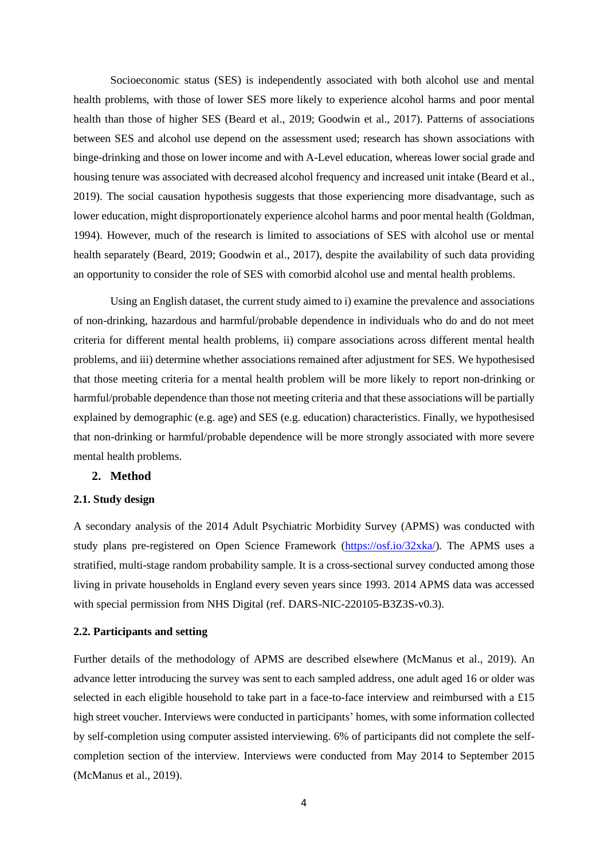Socioeconomic status (SES) is independently associated with both alcohol use and mental health problems, with those of lower SES more likely to experience alcohol harms and poor mental health than those of higher SES (Beard et al., 2019; Goodwin et al., 2017). Patterns of associations between SES and alcohol use depend on the assessment used; research has shown associations with binge-drinking and those on lower income and with A-Level education, whereas lower social grade and housing tenure was associated with decreased alcohol frequency and increased unit intake (Beard et al., 2019). The social causation hypothesis suggests that those experiencing more disadvantage, such as lower education, might disproportionately experience alcohol harms and poor mental health (Goldman, 1994). However, much of the research is limited to associations of SES with alcohol use or mental health separately (Beard, 2019; Goodwin et al., 2017), despite the availability of such data providing an opportunity to consider the role of SES with comorbid alcohol use and mental health problems.

Using an English dataset, the current study aimed to i) examine the prevalence and associations of non-drinking, hazardous and harmful/probable dependence in individuals who do and do not meet criteria for different mental health problems, ii) compare associations across different mental health problems, and iii) determine whether associations remained after adjustment for SES. We hypothesised that those meeting criteria for a mental health problem will be more likely to report non-drinking or harmful/probable dependence than those not meeting criteria and that these associations will be partially explained by demographic (e.g. age) and SES (e.g. education) characteristics. Finally, we hypothesised that non-drinking or harmful/probable dependence will be more strongly associated with more severe mental health problems.

## **2. Method**

## **2.1. Study design**

A secondary analysis of the 2014 Adult Psychiatric Morbidity Survey (APMS) was conducted with study plans pre-registered on Open Science Framework [\(https://osf.io/32xka/\)](https://osf.io/32xka/). The APMS uses a stratified, multi-stage random probability sample. It is a cross-sectional survey conducted among those living in private households in England every seven years since 1993. 2014 APMS data was accessed with special permission from NHS Digital (ref. DARS-NIC-220105-B3Z3S-v0.3).

#### **2.2. Participants and setting**

Further details of the methodology of APMS are described elsewhere (McManus et al., 2019). An advance letter introducing the survey was sent to each sampled address, one adult aged 16 or older was selected in each eligible household to take part in a face-to-face interview and reimbursed with a £15 high street voucher. Interviews were conducted in participants' homes, with some information collected by self-completion using computer assisted interviewing. 6% of participants did not complete the selfcompletion section of the interview. Interviews were conducted from May 2014 to September 2015 (McManus et al., 2019).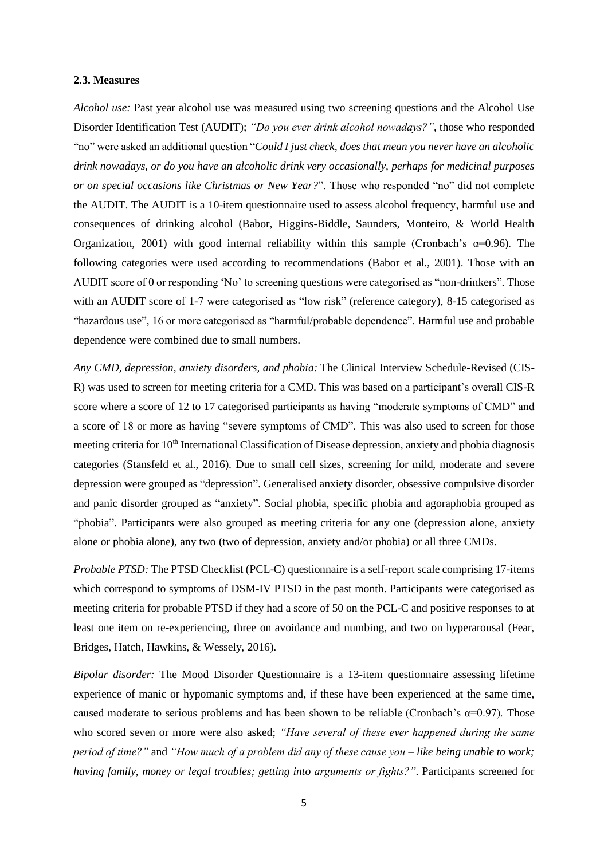#### **2.3. Measures**

*Alcohol use:* Past year alcohol use was measured using two screening questions and the Alcohol Use Disorder Identification Test (AUDIT); *"Do you ever drink alcohol nowadays?"*, those who responded "no" were asked an additional question "*Could I just check, does that mean you never have an alcoholic drink nowadays, or do you have an alcoholic drink very occasionally, perhaps for medicinal purposes or on special occasions like Christmas or New Year?*". Those who responded "no" did not complete the AUDIT. The AUDIT is a 10-item questionnaire used to assess alcohol frequency, harmful use and consequences of drinking alcohol (Babor, Higgins-Biddle, Saunders, Monteiro, & World Health Organization, 2001) with good internal reliability within this sample (Cronbach's  $\alpha$ =0.96). The following categories were used according to recommendations (Babor et al., 2001). Those with an AUDIT score of 0 or responding 'No' to screening questions were categorised as "non-drinkers". Those with an AUDIT score of 1-7 were categorised as "low risk" (reference category), 8-15 categorised as "hazardous use", 16 or more categorised as "harmful/probable dependence". Harmful use and probable dependence were combined due to small numbers.

*Any CMD, depression, anxiety disorders, and phobia:* The Clinical Interview Schedule-Revised (CIS-R) was used to screen for meeting criteria for a CMD. This was based on a participant's overall CIS-R score where a score of 12 to 17 categorised participants as having "moderate symptoms of CMD" and a score of 18 or more as having "severe symptoms of CMD". This was also used to screen for those meeting criteria for 10<sup>th</sup> International Classification of Disease depression, anxiety and phobia diagnosis categories (Stansfeld et al., 2016). Due to small cell sizes, screening for mild, moderate and severe depression were grouped as "depression". Generalised anxiety disorder, obsessive compulsive disorder and panic disorder grouped as "anxiety". Social phobia, specific phobia and agoraphobia grouped as "phobia". Participants were also grouped as meeting criteria for any one (depression alone, anxiety alone or phobia alone), any two (two of depression, anxiety and/or phobia) or all three CMDs.

*Probable PTSD:* The PTSD Checklist (PCL-C) questionnaire is a self-report scale comprising 17-items which correspond to symptoms of DSM-IV PTSD in the past month. Participants were categorised as meeting criteria for probable PTSD if they had a score of 50 on the PCL-C and positive responses to at least one item on re-experiencing, three on avoidance and numbing, and two on hyperarousal (Fear, Bridges, Hatch, Hawkins, & Wessely, 2016).

*Bipolar disorder:* The Mood Disorder Questionnaire is a 13-item questionnaire assessing lifetime experience of manic or hypomanic symptoms and, if these have been experienced at the same time, caused moderate to serious problems and has been shown to be reliable (Cronbach's  $\alpha$ =0.97). Those who scored seven or more were also asked; *"Have several of these ever happened during the same period of time?"* and *"How much of a problem did any of these cause you – like being unable to work; having family, money or legal troubles; getting into arguments or fights?"*. Participants screened for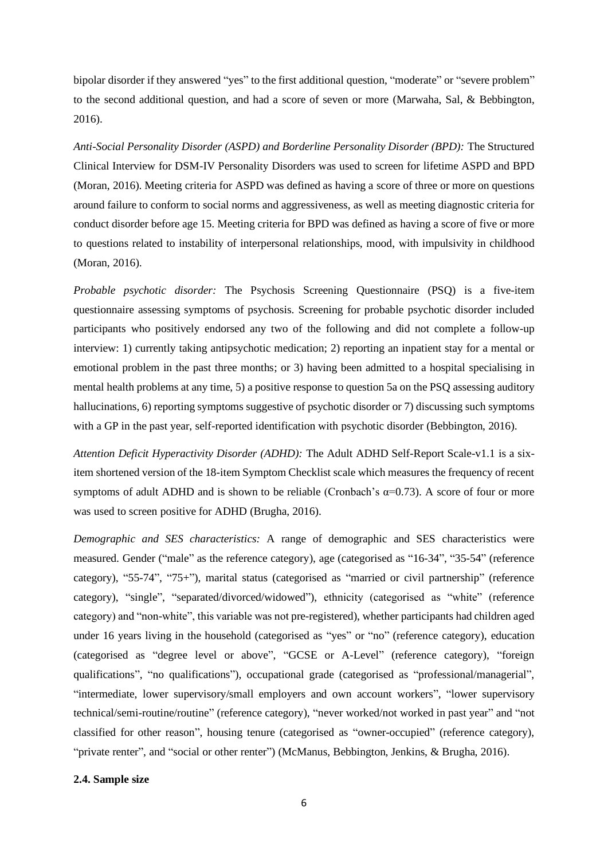bipolar disorder if they answered "yes" to the first additional question, "moderate" or "severe problem" to the second additional question, and had a score of seven or more (Marwaha, Sal, & Bebbington, 2016).

*Anti-Social Personality Disorder (ASPD) and Borderline Personality Disorder (BPD):* The Structured Clinical Interview for DSM-IV Personality Disorders was used to screen for lifetime ASPD and BPD (Moran, 2016). Meeting criteria for ASPD was defined as having a score of three or more on questions around failure to conform to social norms and aggressiveness, as well as meeting diagnostic criteria for conduct disorder before age 15. Meeting criteria for BPD was defined as having a score of five or more to questions related to instability of interpersonal relationships, mood, with impulsivity in childhood (Moran, 2016).

*Probable psychotic disorder:* The Psychosis Screening Questionnaire (PSQ) is a five-item questionnaire assessing symptoms of psychosis. Screening for probable psychotic disorder included participants who positively endorsed any two of the following and did not complete a follow-up interview: 1) currently taking antipsychotic medication; 2) reporting an inpatient stay for a mental or emotional problem in the past three months; or 3) having been admitted to a hospital specialising in mental health problems at any time, 5) a positive response to question 5a on the PSQ assessing auditory hallucinations, 6) reporting symptoms suggestive of psychotic disorder or 7) discussing such symptoms with a GP in the past year, self-reported identification with psychotic disorder (Bebbington, 2016).

*Attention Deficit Hyperactivity Disorder (ADHD):* The Adult ADHD Self-Report Scale-v1.1 is a sixitem shortened version of the 18-item Symptom Checklist scale which measures the frequency of recent symptoms of adult ADHD and is shown to be reliable (Cronbach's  $\alpha$ =0.73). A score of four or more was used to screen positive for ADHD (Brugha, 2016).

*Demographic and SES characteristics:* A range of demographic and SES characteristics were measured. Gender ("male" as the reference category), age (categorised as "16-34", "35-54" (reference category), "55-74", "75+"), marital status (categorised as "married or civil partnership" (reference category), "single", "separated/divorced/widowed"), ethnicity (categorised as "white" (reference category) and "non-white", this variable was not pre-registered), whether participants had children aged under 16 years living in the household (categorised as "yes" or "no" (reference category), education (categorised as "degree level or above", "GCSE or A-Level" (reference category), "foreign qualifications", "no qualifications"), occupational grade (categorised as "professional/managerial", "intermediate, lower supervisory/small employers and own account workers", "lower supervisory technical/semi-routine/routine" (reference category), "never worked/not worked in past year" and "not classified for other reason", housing tenure (categorised as "owner-occupied" (reference category), "private renter", and "social or other renter") (McManus, Bebbington, Jenkins, & Brugha, 2016).

## **2.4. Sample size**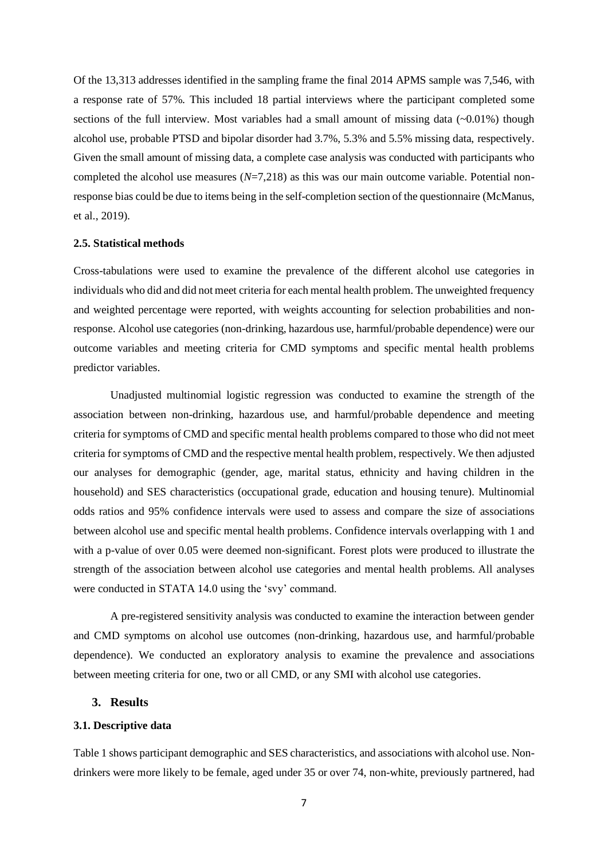Of the 13,313 addresses identified in the sampling frame the final 2014 APMS sample was 7,546, with a response rate of 57%. This included 18 partial interviews where the participant completed some sections of the full interview. Most variables had a small amount of missing data  $(-0.01\%)$  though alcohol use, probable PTSD and bipolar disorder had 3.7%, 5.3% and 5.5% missing data, respectively. Given the small amount of missing data, a complete case analysis was conducted with participants who completed the alcohol use measures (*N*=7,218) as this was our main outcome variable. Potential nonresponse bias could be due to items being in the self-completion section of the questionnaire (McManus, et al., 2019).

#### **2.5. Statistical methods**

Cross-tabulations were used to examine the prevalence of the different alcohol use categories in individuals who did and did not meet criteria for each mental health problem. The unweighted frequency and weighted percentage were reported, with weights accounting for selection probabilities and nonresponse. Alcohol use categories (non-drinking, hazardous use, harmful/probable dependence) were our outcome variables and meeting criteria for CMD symptoms and specific mental health problems predictor variables.

Unadjusted multinomial logistic regression was conducted to examine the strength of the association between non-drinking, hazardous use, and harmful/probable dependence and meeting criteria for symptoms of CMD and specific mental health problems compared to those who did not meet criteria for symptoms of CMD and the respective mental health problem, respectively. We then adjusted our analyses for demographic (gender, age, marital status, ethnicity and having children in the household) and SES characteristics (occupational grade, education and housing tenure). Multinomial odds ratios and 95% confidence intervals were used to assess and compare the size of associations between alcohol use and specific mental health problems. Confidence intervals overlapping with 1 and with a p-value of over 0.05 were deemed non-significant. Forest plots were produced to illustrate the strength of the association between alcohol use categories and mental health problems. All analyses were conducted in STATA 14.0 using the 'svy' command.

A pre-registered sensitivity analysis was conducted to examine the interaction between gender and CMD symptoms on alcohol use outcomes (non-drinking, hazardous use, and harmful/probable dependence). We conducted an exploratory analysis to examine the prevalence and associations between meeting criteria for one, two or all CMD, or any SMI with alcohol use categories.

## **3. Results**

### **3.1. Descriptive data**

Table 1 shows participant demographic and SES characteristics, and associations with alcohol use. Nondrinkers were more likely to be female, aged under 35 or over 74, non-white, previously partnered, had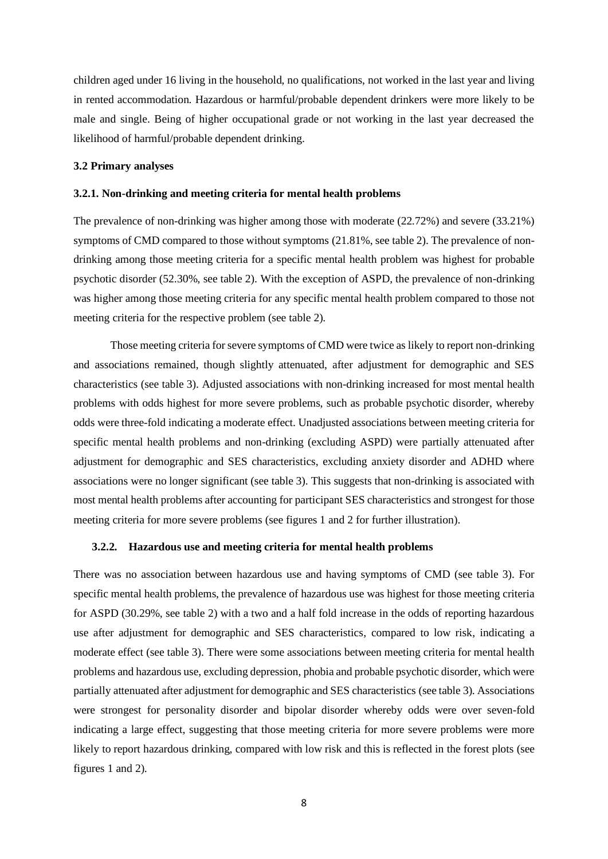children aged under 16 living in the household, no qualifications, not worked in the last year and living in rented accommodation. Hazardous or harmful/probable dependent drinkers were more likely to be male and single. Being of higher occupational grade or not working in the last year decreased the likelihood of harmful/probable dependent drinking.

#### **3.2 Primary analyses**

#### **3.2.1. Non-drinking and meeting criteria for mental health problems**

The prevalence of non-drinking was higher among those with moderate (22.72%) and severe (33.21%) symptoms of CMD compared to those without symptoms (21.81%, see table 2). The prevalence of nondrinking among those meeting criteria for a specific mental health problem was highest for probable psychotic disorder (52.30%, see table 2). With the exception of ASPD, the prevalence of non-drinking was higher among those meeting criteria for any specific mental health problem compared to those not meeting criteria for the respective problem (see table 2).

Those meeting criteria for severe symptoms of CMD were twice as likely to report non-drinking and associations remained, though slightly attenuated, after adjustment for demographic and SES characteristics (see table 3). Adjusted associations with non-drinking increased for most mental health problems with odds highest for more severe problems, such as probable psychotic disorder, whereby odds were three-fold indicating a moderate effect. Unadjusted associations between meeting criteria for specific mental health problems and non-drinking (excluding ASPD) were partially attenuated after adjustment for demographic and SES characteristics, excluding anxiety disorder and ADHD where associations were no longer significant (see table 3). This suggests that non-drinking is associated with most mental health problems after accounting for participant SES characteristics and strongest for those meeting criteria for more severe problems (see figures 1 and 2 for further illustration).

#### **3.2.2. Hazardous use and meeting criteria for mental health problems**

There was no association between hazardous use and having symptoms of CMD (see table 3). For specific mental health problems, the prevalence of hazardous use was highest for those meeting criteria for ASPD (30.29%, see table 2) with a two and a half fold increase in the odds of reporting hazardous use after adjustment for demographic and SES characteristics, compared to low risk, indicating a moderate effect (see table 3). There were some associations between meeting criteria for mental health problems and hazardous use, excluding depression, phobia and probable psychotic disorder, which were partially attenuated after adjustment for demographic and SES characteristics (see table 3). Associations were strongest for personality disorder and bipolar disorder whereby odds were over seven-fold indicating a large effect, suggesting that those meeting criteria for more severe problems were more likely to report hazardous drinking, compared with low risk and this is reflected in the forest plots (see figures 1 and 2).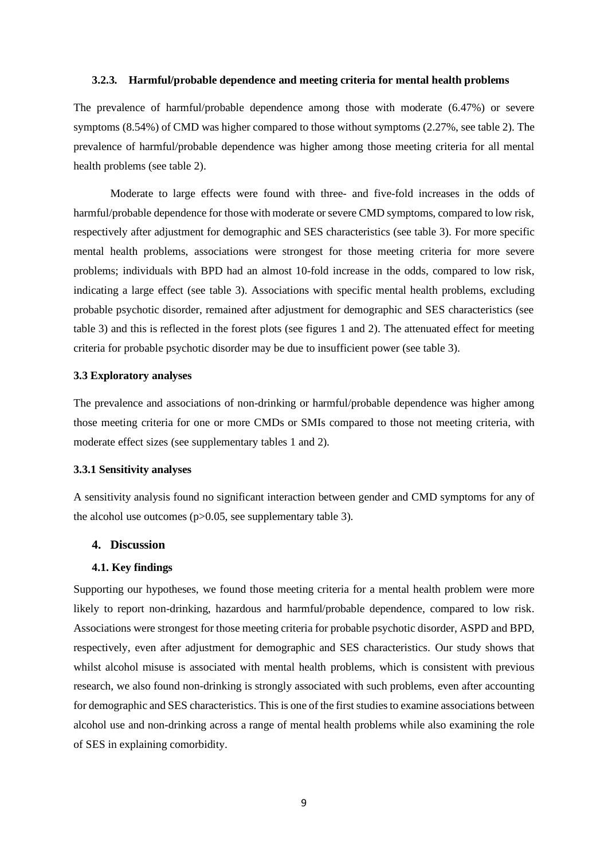#### **3.2.3. Harmful/probable dependence and meeting criteria for mental health problems**

The prevalence of harmful/probable dependence among those with moderate (6.47%) or severe symptoms (8.54%) of CMD was higher compared to those without symptoms (2.27%, see table 2). The prevalence of harmful/probable dependence was higher among those meeting criteria for all mental health problems (see table 2).

Moderate to large effects were found with three- and five-fold increases in the odds of harmful/probable dependence for those with moderate or severe CMD symptoms, compared to low risk, respectively after adjustment for demographic and SES characteristics (see table 3). For more specific mental health problems, associations were strongest for those meeting criteria for more severe problems; individuals with BPD had an almost 10-fold increase in the odds, compared to low risk, indicating a large effect (see table 3). Associations with specific mental health problems, excluding probable psychotic disorder, remained after adjustment for demographic and SES characteristics (see table 3) and this is reflected in the forest plots (see figures 1 and 2). The attenuated effect for meeting criteria for probable psychotic disorder may be due to insufficient power (see table 3).

## **3.3 Exploratory analyses**

The prevalence and associations of non-drinking or harmful/probable dependence was higher among those meeting criteria for one or more CMDs or SMIs compared to those not meeting criteria, with moderate effect sizes (see supplementary tables 1 and 2).

#### **3.3.1 Sensitivity analyses**

A sensitivity analysis found no significant interaction between gender and CMD symptoms for any of the alcohol use outcomes (p>0.05, see supplementary table 3).

## **4. Discussion**

#### **4.1. Key findings**

Supporting our hypotheses, we found those meeting criteria for a mental health problem were more likely to report non-drinking, hazardous and harmful/probable dependence, compared to low risk. Associations were strongest for those meeting criteria for probable psychotic disorder, ASPD and BPD, respectively, even after adjustment for demographic and SES characteristics. Our study shows that whilst alcohol misuse is associated with mental health problems, which is consistent with previous research, we also found non-drinking is strongly associated with such problems, even after accounting for demographic and SES characteristics. This is one of the first studies to examine associations between alcohol use and non-drinking across a range of mental health problems while also examining the role of SES in explaining comorbidity.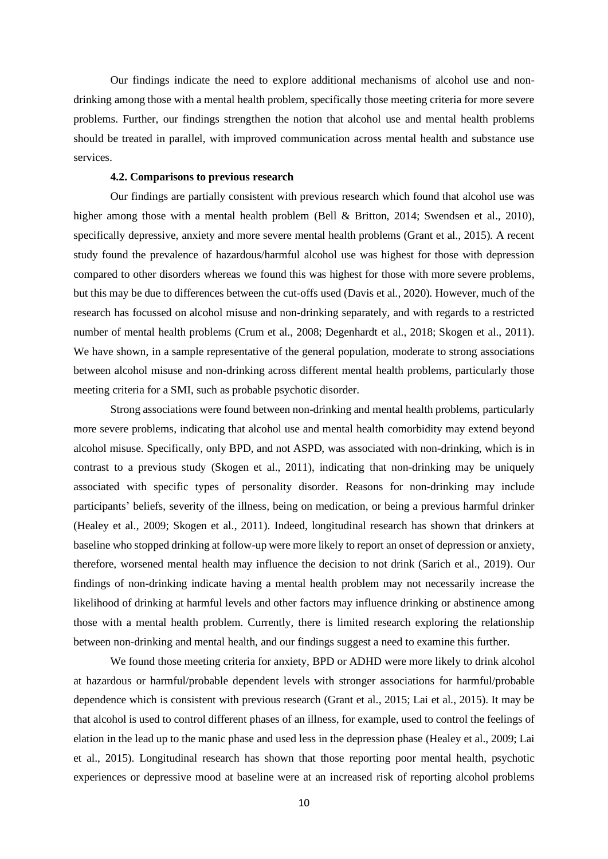Our findings indicate the need to explore additional mechanisms of alcohol use and nondrinking among those with a mental health problem, specifically those meeting criteria for more severe problems. Further, our findings strengthen the notion that alcohol use and mental health problems should be treated in parallel, with improved communication across mental health and substance use services.

#### **4.2. Comparisons to previous research**

Our findings are partially consistent with previous research which found that alcohol use was higher among those with a mental health problem (Bell & Britton, 2014; Swendsen et al., 2010), specifically depressive, anxiety and more severe mental health problems (Grant et al., 2015). A recent study found the prevalence of hazardous/harmful alcohol use was highest for those with depression compared to other disorders whereas we found this was highest for those with more severe problems, but this may be due to differences between the cut-offs used (Davis et al., 2020). However, much of the research has focussed on alcohol misuse and non-drinking separately, and with regards to a restricted number of mental health problems (Crum et al., 2008; Degenhardt et al., 2018; Skogen et al., 2011). We have shown, in a sample representative of the general population, moderate to strong associations between alcohol misuse and non-drinking across different mental health problems, particularly those meeting criteria for a SMI, such as probable psychotic disorder.

Strong associations were found between non-drinking and mental health problems, particularly more severe problems, indicating that alcohol use and mental health comorbidity may extend beyond alcohol misuse. Specifically, only BPD, and not ASPD, was associated with non-drinking, which is in contrast to a previous study (Skogen et al., 2011), indicating that non-drinking may be uniquely associated with specific types of personality disorder. Reasons for non-drinking may include participants' beliefs, severity of the illness, being on medication, or being a previous harmful drinker (Healey et al., 2009; Skogen et al., 2011). Indeed, longitudinal research has shown that drinkers at baseline who stopped drinking at follow-up were more likely to report an onset of depression or anxiety, therefore, worsened mental health may influence the decision to not drink (Sarich et al., 2019). Our findings of non-drinking indicate having a mental health problem may not necessarily increase the likelihood of drinking at harmful levels and other factors may influence drinking or abstinence among those with a mental health problem. Currently, there is limited research exploring the relationship between non-drinking and mental health, and our findings suggest a need to examine this further.

We found those meeting criteria for anxiety, BPD or ADHD were more likely to drink alcohol at hazardous or harmful/probable dependent levels with stronger associations for harmful/probable dependence which is consistent with previous research (Grant et al., 2015; Lai et al., 2015). It may be that alcohol is used to control different phases of an illness, for example, used to control the feelings of elation in the lead up to the manic phase and used less in the depression phase (Healey et al., 2009; Lai et al., 2015). Longitudinal research has shown that those reporting poor mental health, psychotic experiences or depressive mood at baseline were at an increased risk of reporting alcohol problems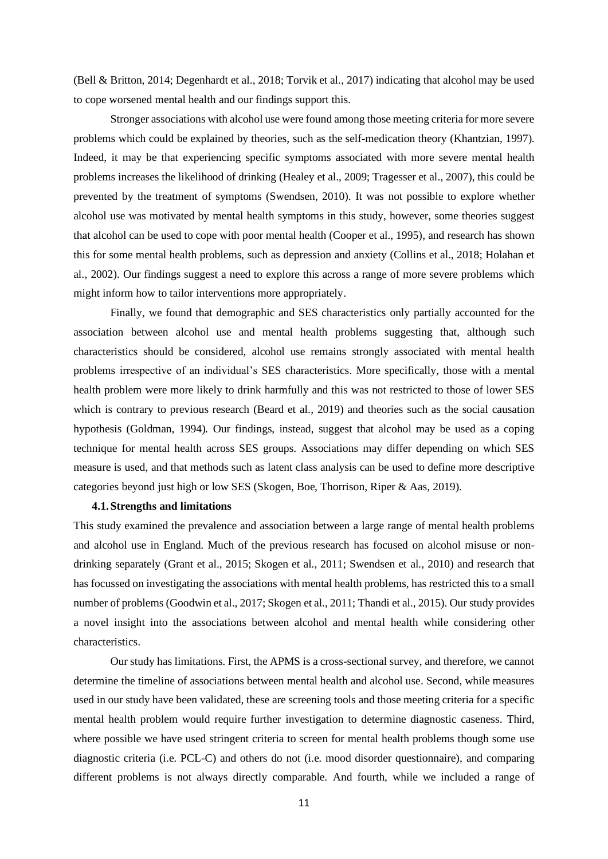(Bell & Britton, 2014; Degenhardt et al., 2018; Torvik et al., 2017) indicating that alcohol may be used to cope worsened mental health and our findings support this.

Stronger associations with alcohol use were found among those meeting criteria for more severe problems which could be explained by theories, such as the self-medication theory (Khantzian, 1997). Indeed, it may be that experiencing specific symptoms associated with more severe mental health problems increases the likelihood of drinking (Healey et al., 2009; Tragesser et al., 2007), this could be prevented by the treatment of symptoms (Swendsen, 2010). It was not possible to explore whether alcohol use was motivated by mental health symptoms in this study, however, some theories suggest that alcohol can be used to cope with poor mental health (Cooper et al., 1995), and research has shown this for some mental health problems, such as depression and anxiety (Collins et al., 2018; Holahan et al., 2002). Our findings suggest a need to explore this across a range of more severe problems which might inform how to tailor interventions more appropriately.

Finally, we found that demographic and SES characteristics only partially accounted for the association between alcohol use and mental health problems suggesting that, although such characteristics should be considered, alcohol use remains strongly associated with mental health problems irrespective of an individual's SES characteristics. More specifically, those with a mental health problem were more likely to drink harmfully and this was not restricted to those of lower SES which is contrary to previous research (Beard et al., 2019) and theories such as the social causation hypothesis (Goldman, 1994). Our findings, instead, suggest that alcohol may be used as a coping technique for mental health across SES groups. Associations may differ depending on which SES measure is used, and that methods such as latent class analysis can be used to define more descriptive categories beyond just high or low SES (Skogen, Boe, Thorrison, Riper & Aas, 2019).

#### **4.1.Strengths and limitations**

This study examined the prevalence and association between a large range of mental health problems and alcohol use in England. Much of the previous research has focused on alcohol misuse or nondrinking separately (Grant et al., 2015; Skogen et al., 2011; Swendsen et al., 2010) and research that has focussed on investigating the associations with mental health problems, has restricted this to a small number of problems (Goodwin et al., 2017; Skogen et al., 2011; Thandi et al., 2015). Our study provides a novel insight into the associations between alcohol and mental health while considering other characteristics.

Our study has limitations. First, the APMS is a cross-sectional survey, and therefore, we cannot determine the timeline of associations between mental health and alcohol use. Second, while measures used in our study have been validated, these are screening tools and those meeting criteria for a specific mental health problem would require further investigation to determine diagnostic caseness. Third, where possible we have used stringent criteria to screen for mental health problems though some use diagnostic criteria (i.e. PCL-C) and others do not (i.e. mood disorder questionnaire), and comparing different problems is not always directly comparable. And fourth, while we included a range of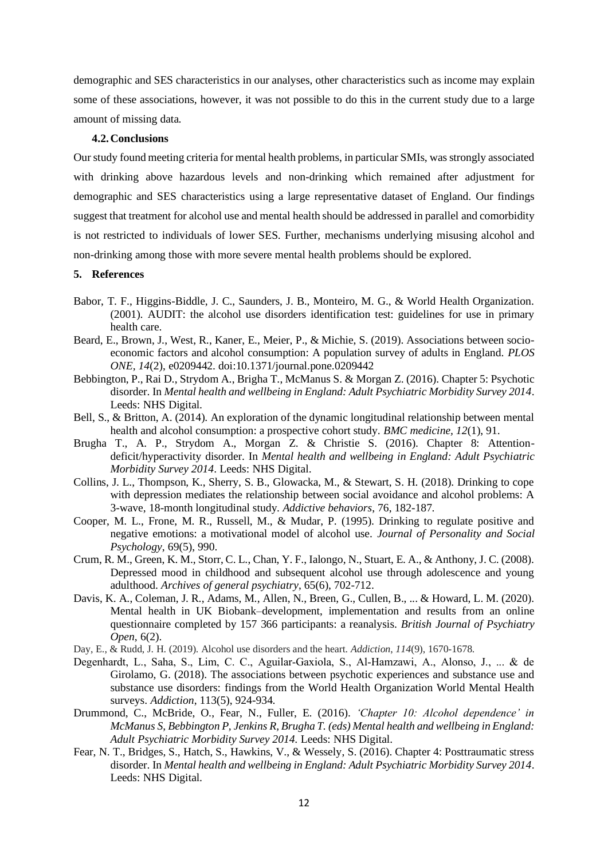demographic and SES characteristics in our analyses, other characteristics such as income may explain some of these associations, however, it was not possible to do this in the current study due to a large amount of missing data.

#### **4.2.Conclusions**

Our study found meeting criteria for mental health problems, in particular SMIs, was strongly associated with drinking above hazardous levels and non-drinking which remained after adjustment for demographic and SES characteristics using a large representative dataset of England. Our findings suggest that treatment for alcohol use and mental health should be addressed in parallel and comorbidity is not restricted to individuals of lower SES. Further, mechanisms underlying misusing alcohol and non-drinking among those with more severe mental health problems should be explored.

#### **5. References**

- Babor, T. F., Higgins-Biddle, J. C., Saunders, J. B., Monteiro, M. G., & World Health Organization. (2001). AUDIT: the alcohol use disorders identification test: guidelines for use in primary health care.
- Beard, E., Brown, J., West, R., Kaner, E., Meier, P., & Michie, S. (2019). Associations between socioeconomic factors and alcohol consumption: A population survey of adults in England. *PLOS ONE, 14*(2), e0209442. doi:10.1371/journal.pone.0209442
- Bebbington, P., Rai D., Strydom A., Brigha T., McManus S. & Morgan Z. (2016). Chapter 5: Psychotic disorder. In *Mental health and wellbeing in England: Adult Psychiatric Morbidity Survey 2014*. Leeds: NHS Digital.
- Bell, S., & Britton, A. (2014). An exploration of the dynamic longitudinal relationship between mental health and alcohol consumption: a prospective cohort study. *BMC medicine, 12*(1), 91.
- Brugha T., A. P., Strydom A., Morgan Z. & Christie S. (2016). Chapter 8: Attentiondeficit/hyperactivity disorder. In *Mental health and wellbeing in England: Adult Psychiatric Morbidity Survey 2014*. Leeds: NHS Digital.
- Collins, J. L., Thompson, K., Sherry, S. B., Glowacka, M., & Stewart, S. H. (2018). Drinking to cope with depression mediates the relationship between social avoidance and alcohol problems: A 3-wave, 18-month longitudinal study. *Addictive behaviors*, 76, 182-187.
- Cooper, M. L., Frone, M. R., Russell, M., & Mudar, P. (1995). Drinking to regulate positive and negative emotions: a motivational model of alcohol use. *Journal of Personality and Social Psychology*, 69(5), 990.
- Crum, R. M., Green, K. M., Storr, C. L., Chan, Y. F., Ialongo, N., Stuart, E. A., & Anthony, J. C. (2008). Depressed mood in childhood and subsequent alcohol use through adolescence and young adulthood. *Archives of general psychiatry*, 65(6), 702-712.
- Davis, K. A., Coleman, J. R., Adams, M., Allen, N., Breen, G., Cullen, B., ... & Howard, L. M. (2020). Mental health in UK Biobank–development, implementation and results from an online questionnaire completed by 157 366 participants: a reanalysis. *British Journal of Psychiatry Open*, 6(2).
- Day, E., & Rudd, J. H. (2019). Alcohol use disorders and the heart. *Addiction*, *114*(9), 1670-1678.
- Degenhardt, L., Saha, S., Lim, C. C., Aguilar‐Gaxiola, S., Al‐Hamzawi, A., Alonso, J., ... & de Girolamo, G. (2018). The associations between psychotic experiences and substance use and substance use disorders: findings from the World Health Organization World Mental Health surveys. *Addiction*, 113(5), 924-934.
- Drummond, C., McBride, O., Fear, N., Fuller, E. (2016). *'Chapter 10: Alcohol dependence' in McManus S, Bebbington P, Jenkins R, Brugha T. (eds) Mental health and wellbeing in England: Adult Psychiatric Morbidity Survey 2014.* Leeds: NHS Digital.
- Fear, N. T., Bridges, S., Hatch, S., Hawkins, V., & Wessely, S. (2016). Chapter 4: Posttraumatic stress disorder. In *Mental health and wellbeing in England: Adult Psychiatric Morbidity Survey 2014*. Leeds: NHS Digital.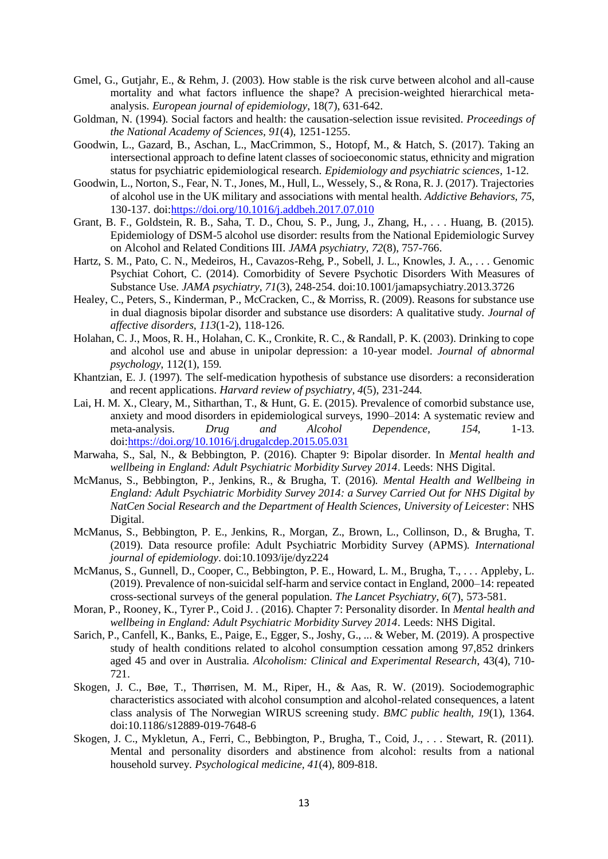- Gmel, G., Gutjahr, E., & Rehm, J. (2003). How stable is the risk curve between alcohol and all-cause mortality and what factors influence the shape? A precision-weighted hierarchical metaanalysis. *European journal of epidemiology*, 18(7), 631-642.
- Goldman, N. (1994). Social factors and health: the causation-selection issue revisited. *Proceedings of the National Academy of Sciences, 91*(4), 1251-1255.
- Goodwin, L., Gazard, B., Aschan, L., MacCrimmon, S., Hotopf, M., & Hatch, S. (2017). Taking an intersectional approach to define latent classes of socioeconomic status, ethnicity and migration status for psychiatric epidemiological research. *Epidemiology and psychiatric sciences*, 1-12.
- Goodwin, L., Norton, S., Fear, N. T., Jones, M., Hull, L., Wessely, S., & Rona, R. J. (2017). Trajectories of alcohol use in the UK military and associations with mental health. *Addictive Behaviors, 75*, 130-137. doi[:https://doi.org/10.1016/j.addbeh.2017.07.010](https://doi.org/10.1016/j.addbeh.2017.07.010)
- Grant, B. F., Goldstein, R. B., Saha, T. D., Chou, S. P., Jung, J., Zhang, H., . . . Huang, B. (2015). Epidemiology of DSM-5 alcohol use disorder: results from the National Epidemiologic Survey on Alcohol and Related Conditions III. *JAMA psychiatry, 72*(8), 757-766.
- Hartz, S. M., Pato, C. N., Medeiros, H., Cavazos-Rehg, P., Sobell, J. L., Knowles, J. A., . . . Genomic Psychiat Cohort, C. (2014). Comorbidity of Severe Psychotic Disorders With Measures of Substance Use. *JAMA psychiatry, 71*(3), 248-254. doi:10.1001/jamapsychiatry.2013.3726
- Healey, C., Peters, S., Kinderman, P., McCracken, C., & Morriss, R. (2009). Reasons for substance use in dual diagnosis bipolar disorder and substance use disorders: A qualitative study. *Journal of affective disorders, 113*(1-2), 118-126.
- Holahan, C. J., Moos, R. H., Holahan, C. K., Cronkite, R. C., & Randall, P. K. (2003). Drinking to cope and alcohol use and abuse in unipolar depression: a 10-year model. *Journal of abnormal psychology*, 112(1), 159.
- Khantzian, E. J. (1997). The self-medication hypothesis of substance use disorders: a reconsideration and recent applications. *Harvard review of psychiatry, 4*(5), 231-244.
- Lai, H. M. X., Cleary, M., Sitharthan, T., & Hunt, G. E. (2015). Prevalence of comorbid substance use, anxiety and mood disorders in epidemiological surveys, 1990–2014: A systematic review and meta-analysis. *Drug and Alcohol Dependence, 154*, 1-13. doi[:https://doi.org/10.1016/j.drugalcdep.2015.05.031](https://doi.org/10.1016/j.drugalcdep.2015.05.031)
- Marwaha, S., Sal, N., & Bebbington, P. (2016). Chapter 9: Bipolar disorder. In *Mental health and wellbeing in England: Adult Psychiatric Morbidity Survey 2014*. Leeds: NHS Digital.
- McManus, S., Bebbington, P., Jenkins, R., & Brugha, T. (2016). *Mental Health and Wellbeing in England: Adult Psychiatric Morbidity Survey 2014: a Survey Carried Out for NHS Digital by NatCen Social Research and the Department of Health Sciences, University of Leicester*: NHS Digital.
- McManus, S., Bebbington, P. E., Jenkins, R., Morgan, Z., Brown, L., Collinson, D., & Brugha, T. (2019). Data resource profile: Adult Psychiatric Morbidity Survey (APMS). *International journal of epidemiology*. doi:10.1093/ije/dyz224
- McManus, S., Gunnell, D., Cooper, C., Bebbington, P. E., Howard, L. M., Brugha, T., . . . Appleby, L. (2019). Prevalence of non-suicidal self-harm and service contact in England, 2000–14: repeated cross-sectional surveys of the general population. *The Lancet Psychiatry, 6*(7), 573-581.
- Moran, P., Rooney, K., Tyrer P., Coid J. . (2016). Chapter 7: Personality disorder. In *Mental health and wellbeing in England: Adult Psychiatric Morbidity Survey 2014*. Leeds: NHS Digital.
- Sarich, P., Canfell, K., Banks, E., Paige, E., Egger, S., Joshy, G., ... & Weber, M. (2019). A prospective study of health conditions related to alcohol consumption cessation among 97,852 drinkers aged 45 and over in Australia. *Alcoholism: Clinical and Experimental Research*, 43(4), 710- 721.
- Skogen, J. C., Bøe, T., Thørrisen, M. M., Riper, H., & Aas, R. W. (2019). Sociodemographic characteristics associated with alcohol consumption and alcohol-related consequences, a latent class analysis of The Norwegian WIRUS screening study. *BMC public health, 19*(1), 1364. doi:10.1186/s12889-019-7648-6
- Skogen, J. C., Mykletun, A., Ferri, C., Bebbington, P., Brugha, T., Coid, J., . . . Stewart, R. (2011). Mental and personality disorders and abstinence from alcohol: results from a national household survey. *Psychological medicine, 41*(4), 809-818.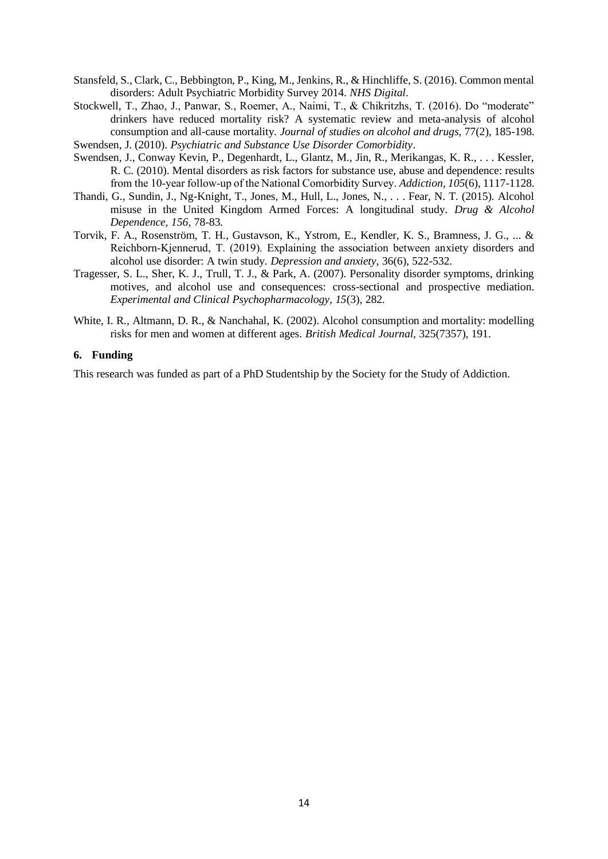- Stansfeld, S., Clark, C., Bebbington, P., King, M., Jenkins, R., & Hinchliffe, S. (2016). Common mental disorders: Adult Psychiatric Morbidity Survey 2014. *NHS Digital*.
- Stockwell, T., Zhao, J., Panwar, S., Roemer, A., Naimi, T., & Chikritzhs, T. (2016). Do "moderate" drinkers have reduced mortality risk? A systematic review and meta-analysis of alcohol consumption and all-cause mortality. *Journal of studies on alcohol and drugs*, 77(2), 185-198. Swendsen, J. (2010). *Psychiatric and Substance Use Disorder Comorbidity*.
- Swendsen, J., Conway Kevin, P., Degenhardt, L., Glantz, M., Jin, R., Merikangas, K. R., . . . Kessler, R. C. (2010). Mental disorders as risk factors for substance use, abuse and dependence: results from the 10‐year follow‐up of the National Comorbidity Survey. *Addiction, 105*(6), 1117-1128.
- Thandi, G., Sundin, J., Ng-Knight, T., Jones, M., Hull, L., Jones, N., . . . Fear, N. T. (2015). Alcohol misuse in the United Kingdom Armed Forces: A longitudinal study. *Drug & Alcohol Dependence, 156*, 78-83.
- Torvik, F. A., Rosenström, T. H., Gustavson, K., Ystrom, E., Kendler, K. S., Bramness, J. G., ... & Reichborn‐Kjennerud, T. (2019). Explaining the association between anxiety disorders and alcohol use disorder: A twin study. *Depression and anxiety*, 36(6), 522-532.
- Tragesser, S. L., Sher, K. J., Trull, T. J., & Park, A. (2007). Personality disorder symptoms, drinking motives, and alcohol use and consequences: cross-sectional and prospective mediation. *Experimental and Clinical Psychopharmacology, 15*(3), 282.
- White, I. R., Altmann, D. R., & Nanchahal, K. (2002). Alcohol consumption and mortality: modelling risks for men and women at different ages. *British Medical Journal*, 325(7357), 191.

## **6. Funding**

This research was funded as part of a PhD Studentship by the Society for the Study of Addiction.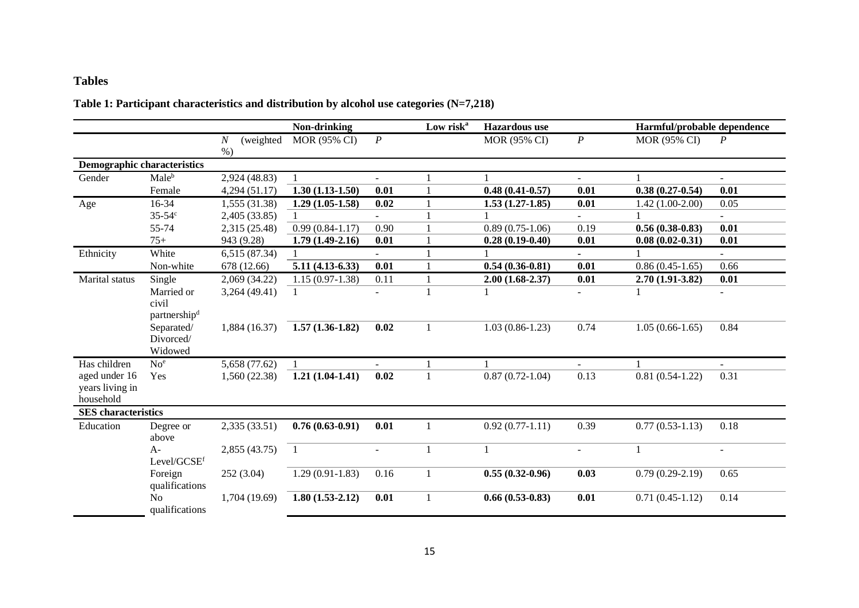# **Tables**

# **Table 1: Participant characteristics and distribution by alcohol use categories (N=7,218)**

|                                               |                                  |                          | Non-drinking      |                  | Low risk <sup>a</sup> | <b>Hazardous</b> use |                          | Harmful/probable dependence |                  |
|-----------------------------------------------|----------------------------------|--------------------------|-------------------|------------------|-----------------------|----------------------|--------------------------|-----------------------------|------------------|
|                                               |                                  | (weighted<br>N<br>$\%$ ) | MOR (95% CI)      | $\boldsymbol{P}$ |                       | MOR (95% CI)         | $\boldsymbol{P}$         | MOR (95% CI)                | $\boldsymbol{P}$ |
| <b>Demographic characteristics</b>            |                                  |                          |                   |                  |                       |                      |                          |                             |                  |
| Gender                                        | Male <sup>b</sup>                | 2,924 (48.83)            |                   |                  |                       |                      |                          |                             |                  |
|                                               | Female                           | 4,294 (51.17)            | $1.30(1.13-1.50)$ | 0.01             |                       | $0.48(0.41 - 0.57)$  | 0.01                     | $0.38(0.27-0.54)$           | 0.01             |
| Age                                           | 16-34                            | 1,555 (31.38)            | $1.29(1.05-1.58)$ | 0.02             |                       | $1.53(1.27-1.85)$    | 0.01                     | $1.42(1.00-2.00)$           | 0.05             |
|                                               | $35 - 54$ <sup>c</sup>           | 2,405 (33.85)            | $\mathbf{1}$      |                  |                       |                      | $\equiv$                 |                             | ÷.               |
|                                               | 55-74                            | 2,315 (25.48)            | $0.99(0.84-1.17)$ | 0.90             |                       | $0.89(0.75-1.06)$    | 0.19                     | $0.56(0.38-0.83)$           | 0.01             |
|                                               | $75+$                            | 943 (9.28)               | $1.79(1.49-2.16)$ | 0.01             |                       | $0.28(0.19-0.40)$    | 0.01                     | $0.08(0.02 - 0.31)$         | 0.01             |
| Ethnicity                                     | White                            | 6,515 (87.34)            |                   |                  |                       |                      |                          |                             |                  |
|                                               | Non-white                        | 678 (12.66)              | $5.11(4.13-6.33)$ | 0.01             |                       | $0.54(0.36-0.81)$    | 0.01                     | $0.86(0.45-1.65)$           | 0.66             |
| Marital status                                | Single                           | 2,069 (34.22)            | $1.15(0.97-1.38)$ | 0.11             |                       | $2.00(1.68-2.37)$    | 0.01                     | $2.70(1.91 - 3.82)$         | 0.01             |
|                                               | Married or<br>civil              | 3,264 (49.41)            |                   |                  |                       |                      |                          |                             |                  |
|                                               | partnership <sup>d</sup>         |                          |                   |                  |                       |                      |                          |                             |                  |
|                                               | Separated/                       | 1,884 (16.37)            | $1.57(1.36-1.82)$ | 0.02             |                       | $1.03(0.86-1.23)$    | 0.74                     | $1.05(0.66-1.65)$           | 0.84             |
|                                               | Divorced/<br>Widowed             |                          |                   |                  |                       |                      |                          |                             |                  |
| Has children                                  | No <sup>e</sup>                  | 5,658 (77.62)            |                   |                  |                       |                      | $\overline{\phantom{0}}$ |                             | Ξ.               |
| aged under 16<br>years living in<br>household | Yes                              | 1,560 (22.38)            | $1.21(1.04-1.41)$ | 0.02             | $\mathbf{1}$          | $0.87(0.72-1.04)$    | 0.13                     | $0.81(0.54-1.22)$           | 0.31             |
| <b>SES</b> characteristics                    |                                  |                          |                   |                  |                       |                      |                          |                             |                  |
| Education                                     | Degree or<br>above               | 2,335 (33.51)            | $0.76(0.63-0.91)$ | 0.01             | 1                     | $0.92(0.77-1.11)$    | 0.39                     | $0.77(0.53-1.13)$           | 0.18             |
|                                               | $A -$<br>Level/GCSEf             | 2,855(43.75)             | $\overline{1}$    | $\sim$           | 1                     | 1                    | ÷.                       | 1                           | $\sim$           |
|                                               | Foreign<br>qualifications        | 252(3.04)                | $1.29(0.91-1.83)$ | 0.16             |                       | $0.55(0.32-0.96)$    | 0.03                     | $0.79(0.29-2.19)$           | 0.65             |
|                                               | N <sub>o</sub><br>qualifications | 1,704 (19.69)            | $1.80(1.53-2.12)$ | 0.01             |                       | $0.66(0.53-0.83)$    | 0.01                     | $0.71(0.45-1.12)$           | 0.14             |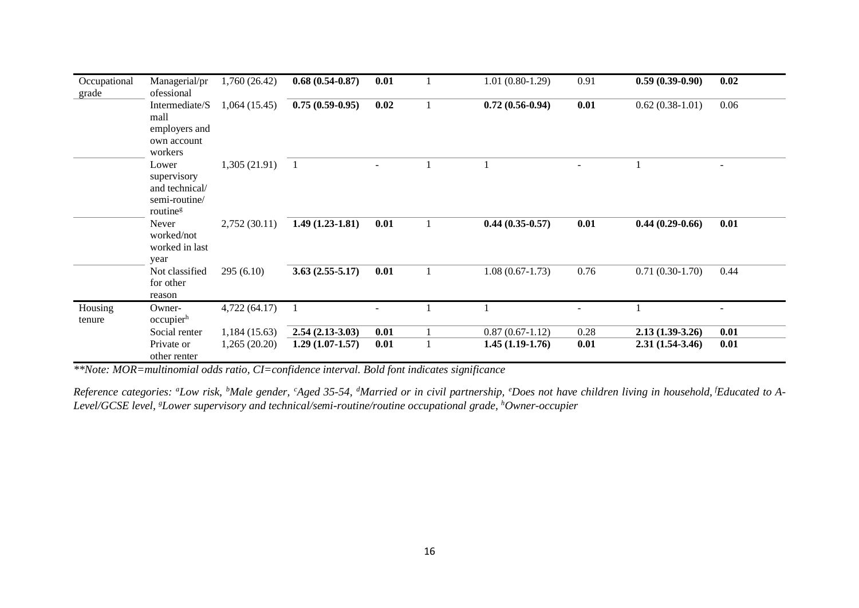| Occupational<br>grade | Managerial/pr<br>ofessional                                                     | 1,760(26.42) | $0.68(0.54-0.87)$ | 0.01 |   | $1.01(0.80-1.29)$ | 0.91 | $0.59(0.39-0.90)$ | 0.02                     |
|-----------------------|---------------------------------------------------------------------------------|--------------|-------------------|------|---|-------------------|------|-------------------|--------------------------|
|                       | Intermediate/S<br>mall<br>employers and<br>own account<br>workers               | 1,064(15.45) | $0.75(0.59-0.95)$ | 0.02 |   | $0.72(0.56-0.94)$ | 0.01 | $0.62(0.38-1.01)$ | 0.06                     |
|                       | Lower<br>supervisory<br>and technical/<br>semi-routine/<br>routine <sup>g</sup> | 1,305(21.91) | $\overline{1}$    |      |   |                   |      |                   |                          |
|                       | Never<br>worked/not<br>worked in last<br>year                                   | 2,752(30.11) | $1.49(1.23-1.81)$ | 0.01 |   | $0.44(0.35-0.57)$ | 0.01 | $0.44(0.29-0.66)$ | 0.01                     |
|                       | Not classified<br>for other<br>reason                                           | 295(6.10)    | $3.63(2.55-5.17)$ | 0.01 |   | $1.08(0.67-1.73)$ | 0.76 | $0.71(0.30-1.70)$ | 0.44                     |
| Housing<br>tenure     | Owner-<br>occupierh                                                             | 4,722(64.17) |                   |      |   |                   |      |                   | $\overline{\phantom{a}}$ |
|                       | Social renter                                                                   | 1,184(15.63) | $2.54(2.13-3.03)$ | 0.01 |   | $0.87(0.67-1.12)$ | 0.28 | $2.13(1.39-3.26)$ | 0.01                     |
|                       | Private or<br>other renter                                                      | 1,265(20.20) | $1.29(1.07-1.57)$ | 0.01 | 1 | $1.45(1.19-1.76)$ | 0.01 | $2.31(1.54-3.46)$ | 0.01                     |

*\*\*Note: MOR=multinomial odds ratio, CI=confidence interval. Bold font indicates significance*

Reference categories: "Low risk, <sup>b</sup>Male gender, <sup>c</sup>Aged 35-54, <sup>d</sup>Married or in civil partnership, *'Does not have children living in household*, <sup>f</sup>Educated to A-*Level/GCSE level, gLower supervisory and technical/semi-routine/routine occupational grade, hOwner-occupier*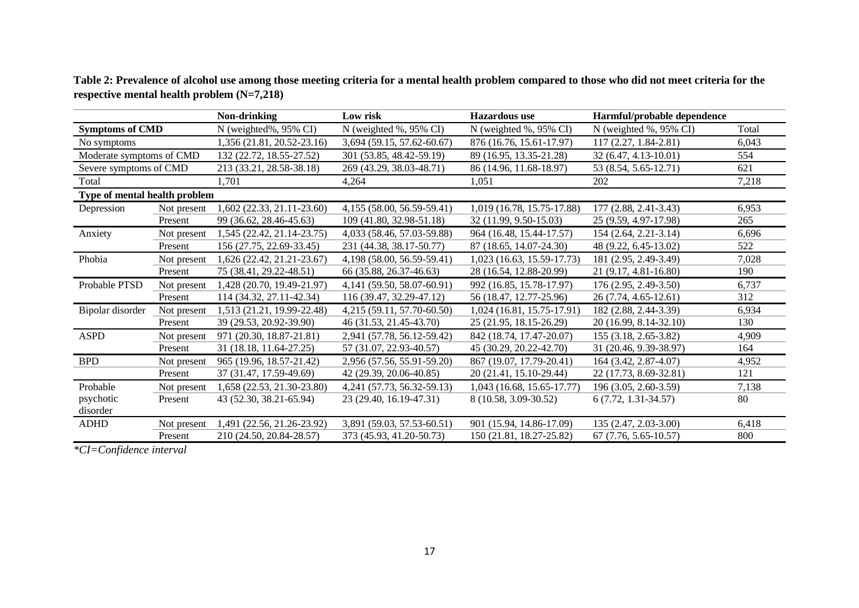|                               |             | Non-drinking               | Low risk                   | <b>Hazardous</b> use       | Harmful/probable dependence |       |
|-------------------------------|-------------|----------------------------|----------------------------|----------------------------|-----------------------------|-------|
| <b>Symptoms of CMD</b>        |             | N (weighted%, 95% CI)      | N (weighted %, 95% CI)     | N (weighted %, 95% CI)     | N (weighted %, 95% CI)      | Total |
| No symptoms                   |             | 1,356 (21.81, 20.52-23.16) | 3,694 (59.15, 57.62-60.67) | 876 (16.76, 15.61-17.97)   | 117 (2.27, 1.84-2.81)       | 6.043 |
| Moderate symptoms of CMD      |             | 132 (22.72, 18.55-27.52)   | 301 (53.85, 48.42-59.19)   | 89 (16.95, 13.35-21.28)    | 32 (6.47, 4.13-10.01)       | 554   |
| Severe symptoms of CMD        |             | 213 (33.21, 28.58-38.18)   | 269 (43.29, 38.03-48.71)   | 86 (14.96, 11.68-18.97)    | 53 (8.54, 5.65-12.71)       | 621   |
| Total                         |             | 1.701                      | 4,264                      | 1,051                      | 202                         | 7,218 |
| Type of mental health problem |             |                            |                            |                            |                             |       |
| Depression                    | Not present | 1,602 (22.33, 21.11-23.60) | 4,155 (58.00, 56.59-59.41) | 1,019 (16.78, 15.75-17.88) | 177 (2.88, 2.41-3.43)       | 6,953 |
|                               | Present     | 99 (36.62, 28.46-45.63)    | 109 (41.80, 32.98-51.18)   | 32 (11.99, 9.50-15.03)     | 25 (9.59, 4.97-17.98)       | 265   |
| Anxiety                       | Not present | 1,545 (22.42, 21.14-23.75) | 4,033 (58.46, 57.03-59.88) | 964 (16.48, 15.44-17.57)   | 154 (2.64, 2.21-3.14)       | 6,696 |
|                               | Present     | 156 (27.75, 22.69-33.45)   | 231 (44.38, 38.17-50.77)   | 87 (18.65, 14.07-24.30)    | 48 (9.22, 6.45-13.02)       | 522   |
| Phobia                        | Not present | 1,626 (22.42, 21.21-23.67) | 4,198 (58.00, 56.59-59.41) | 1,023 (16.63, 15.59-17.73) | 181 (2.95, 2.49-3.49)       | 7,028 |
|                               | Present     | 75 (38.41, 29.22-48.51)    | 66 (35.88, 26.37-46.63)    | 28 (16.54, 12.88-20.99)    | 21 (9.17, 4.81-16.80)       | 190   |
| Probable PTSD                 | Not present | 1,428 (20.70, 19.49-21.97) | 4,141 (59.50, 58.07-60.91) | 992 (16.85, 15.78-17.97)   | 176 (2.95, 2.49-3.50)       | 6,737 |
|                               | Present     | 114 (34.32, 27.11-42.34)   | 116 (39.47, 32.29-47.12)   | 56 (18.47, 12.77-25.96)    | 26 (7.74, 4.65-12.61)       | 312   |
| Bipolar disorder              | Not present | 1,513 (21.21, 19.99-22.48) | 4,215 (59.11, 57.70-60.50) | 1,024 (16.81, 15.75-17.91) | 182 (2.88, 2.44-3.39)       | 6,934 |
|                               | Present     | 39 (29.53, 20.92-39.90)    | 46 (31.53, 21.45-43.70)    | 25 (21.95, 18.15-26.29)    | 20 (16.99, 8.14-32.10)      | 130   |
| <b>ASPD</b>                   | Not present | 971 (20.30, 18.87-21.81)   | 2,941 (57.78, 56.12-59.42) | 842 (18.74, 17.47-20.07)   | 155 (3.18, 2.65-3.82)       | 4.909 |
|                               | Present     | 31 (18.18, 11.64-27.25)    | 57 (31.07, 22.93-40.57)    | 45 (30.29, 20.22-42.70)    | 31 (20.46, 9.39-38.97)      | 164   |
| <b>BPD</b>                    | Not present | 965 (19.96, 18.57-21.42)   | 2,956 (57.56, 55.91-59.20) | 867 (19.07, 17.79-20.41)   | 164 (3.42, 2.87-4.07)       | 4,952 |
|                               | Present     | 37 (31.47, 17.59-49.69)    | 42 (29.39, 20.06-40.85)    | 20 (21.41, 15.10-29.44)    | 22 (17.73, 8.69-32.81)      | 121   |
| Probable                      | Not present | 1,658 (22.53, 21.30-23.80) | 4,241 (57.73, 56.32-59.13) | 1,043 (16.68, 15.65-17.77) | 196 (3.05, 2.60-3.59)       | 7,138 |
| psychotic                     | Present     | 43 (52.30, 38.21-65.94)    | 23 (29.40, 16.19-47.31)    | 8 (10.58, 3.09-30.52)      | $6(7.72, 1.31-34.57)$       | 80    |
| disorder                      |             |                            |                            |                            |                             |       |
| <b>ADHD</b>                   | Not present | 1,491 (22.56, 21.26-23.92) | 3,891 (59.03, 57.53-60.51) | 901 (15.94, 14.86-17.09)   | 135 (2.47, 2.03-3.00)       | 6,418 |
|                               | Present     | 210 (24.50, 20.84-28.57)   | 373 (45.93, 41.20-50.73)   | 150 (21.81, 18.27-25.82)   | $67$ (7.76, 5.65-10.57)     | 800   |

**Table 2: Prevalence of alcohol use among those meeting criteria for a mental health problem compared to those who did not meet criteria for the respective mental health problem (N=7,218)**

*\*CI=Confidence interval*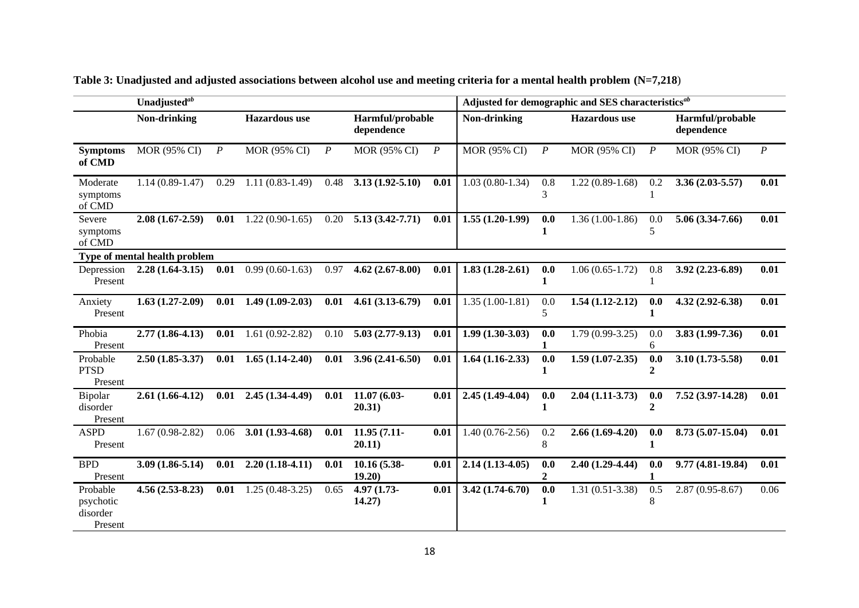|                                              | Unadjusted <sup>ab</sup>      |                  |                      |                  |                                |                  | Adjusted for demographic and SES characteristics <sup>ab</sup> |                       |                      |                  |                                |                  |
|----------------------------------------------|-------------------------------|------------------|----------------------|------------------|--------------------------------|------------------|----------------------------------------------------------------|-----------------------|----------------------|------------------|--------------------------------|------------------|
|                                              | Non-drinking                  |                  | <b>Hazardous</b> use |                  | Harmful/probable<br>dependence |                  | Non-drinking                                                   |                       | <b>Hazardous</b> use |                  | Harmful/probable<br>dependence |                  |
| <b>Symptoms</b><br>of CMD                    | MOR (95% CI)                  | $\boldsymbol{P}$ | MOR (95% CI)         | $\boldsymbol{P}$ | MOR (95% CI)                   | $\boldsymbol{P}$ | MOR (95% CI)                                                   | $\boldsymbol{P}$      | MOR (95% CI)         | $\boldsymbol{P}$ | MOR (95% CI)                   | $\boldsymbol{P}$ |
| Moderate<br>symptoms<br>of CMD               | $1.14(0.89-1.47)$             | 0.29             | $1.11(0.83-1.49)$    | 0.48             | $3.13(1.92 - 5.10)$            | 0.01             | $1.03(0.80-1.34)$                                              | 0.8<br>3              | $1.22(0.89-1.68)$    | 0.2              | $3.36(2.03 - 5.57)$            | 0.01             |
| Severe<br>symptoms<br>of CMD                 | $2.08(1.67-2.59)$             | 0.01             | $1.22(0.90-1.65)$    | 0.20             | $5.13(3.42 - 7.71)$            | 0.01             | $1.55(1.20-1.99)$                                              | 0.0                   | $1.36(1.00-1.86)$    | 0.0<br>5         | $5.06(3.34-7.66)$              | 0.01             |
|                                              | Type of mental health problem |                  |                      |                  |                                |                  |                                                                |                       |                      |                  |                                |                  |
| Depression<br>Present                        | $2.28(1.64-3.15)$             | 0.01             | $0.99(0.60-1.63)$    | 0.97             | $4.62(2.67 - 8.00)$            | 0.01             | $1.83(1.28-2.61)$                                              | 0.0<br>1              | $1.06(0.65-1.72)$    | 0.8              | $3.92(2.23 - 6.89)$            | 0.01             |
| Anxiety<br>Present                           | $1.63(1.27-2.09)$             | 0.01             | $1.49(1.09-2.03)$    | 0.01             | $4.61(3.13-6.79)$              | 0.01             | $1.35(1.00-1.81)$                                              | 0.0<br>5              | $1.54(1.12-2.12)$    | 0.0<br>1         | 4.32 (2.92-6.38)               | 0.01             |
| Phobia<br>Present                            | $2.77(1.86 - 4.13)$           | 0.01             | $1.61(0.92 - 2.82)$  | 0.10             | $5.03(2.77-9.13)$              | 0.01             | $1.99(1.30-3.03)$                                              | 0.0                   | $1.79(0.99-3.25)$    | 0.0<br>6         | $3.83(1.99-7.36)$              | 0.01             |
| Probable<br><b>PTSD</b><br>Present           | $2.50(1.85-3.37)$             | 0.01             | $1.65(1.14-2.40)$    | 0.01             | $3.96(2.41-6.50)$              | 0.01             | $1.64(1.16-2.33)$                                              | 0.0                   | $1.59(1.07 - 2.35)$  | 0.0<br>2         | $3.10(1.73-5.58)$              | 0.01             |
| Bipolar<br>disorder<br>Present               | $2.61(1.66-4.12)$             | 0.01             | $2.45(1.34-4.49)$    | 0.01             | 11.07 (6.03-<br>20.31)         | 0.01             | $2.45(1.49-4.04)$                                              | 0.0<br>1              | $2.04(1.11-3.73)$    | 0.0<br>2         | 7.52 (3.97-14.28)              | 0.01             |
| <b>ASPD</b><br>Present                       | $1.67(0.98-2.82)$             | 0.06             | $3.01(1.93-4.68)$    | 0.01             | $11.95(7.11-$<br>20.11)        | 0.01             | $1.40(0.76-2.56)$                                              | 0.2<br>8              | $2.66(1.69-4.20)$    | 0.0              | 8.73 (5.07-15.04)              | 0.01             |
| <b>BPD</b><br>Present                        | $3.09(1.86 - 5.14)$           | 0.01             | $2.20(1.18-4.11)$    | 0.01             | 10.16 (5.38-<br>19.20)         | 0.01             | $2.14(1.13-4.05)$                                              | 0.0<br>$\overline{2}$ | $2.40(1.29-4.44)$    | 0.0              | $9.77(4.81 - 19.84)$           | 0.01             |
| Probable<br>psychotic<br>disorder<br>Present | $4.56(2.53-8.23)$             | 0.01             | $1.25(0.48-3.25)$    | 0.65             | 4.97 (1.73-<br>14.27)          | 0.01             | $3.42(1.74-6.70)$                                              | 0.0<br>1              | $1.31(0.51-3.38)$    | 0.5<br>8         | $2.87(0.95 - 8.67)$            | 0.06             |

**Table 3: Unadjusted and adjusted associations between alcohol use and meeting criteria for a mental health problem (N=7,218**)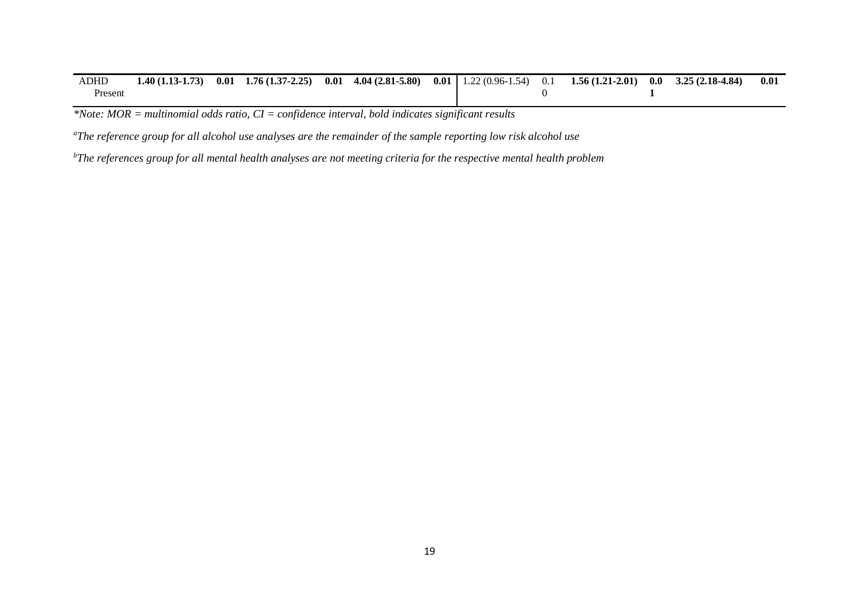| <b>ADHD</b> | $1.40(1.13-1.73)$ | 0.01 | $1.76(1.37-2.25)$ | $0.01 \quad 4.04 \ (2.81 - 5.80)$ |  | <b>0.01</b>   1.22 (0.96-1.54) 0.1 <b>1.56 (1.21-2.01)</b> | $0.0 \quad 3.25(2.18-4.84)$ | 0.01 |
|-------------|-------------------|------|-------------------|-----------------------------------|--|------------------------------------------------------------|-----------------------------|------|
| Present     |                   |      |                   |                                   |  |                                                            |                             |      |

*\*Note: MOR = multinomial odds ratio, CI = confidence interval, bold indicates significant results* 

*<sup>a</sup>The reference group for all alcohol use analyses are the remainder of the sample reporting low risk alcohol use*

*bThe references group for all mental health analyses are not meeting criteria for the respective mental health problem*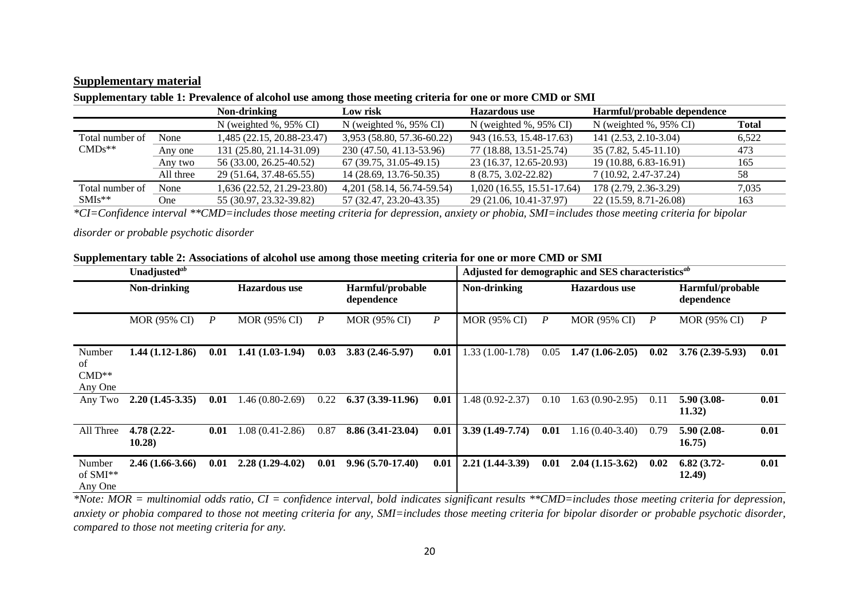## **Supplementary material**

|           | Non-drinking                   | Low risk                       | <b>Hazardous</b> use           | Harmful/probable dependence    |              |
|-----------|--------------------------------|--------------------------------|--------------------------------|--------------------------------|--------------|
|           | N (weighted $\%$ , 95 $\%$ CI) | N (weighted $\%$ , 95 $\%$ CI) | N (weighted $\%$ , 95 $\%$ CI) | N (weighted $\%$ , 95 $\%$ CI) | <b>Total</b> |
| None      | 1,485 (22.15, 20.88-23.47)     | 3,953 (58.80, 57.36-60.22)     | 943 (16.53, 15.48-17.63)       | 141 (2.53, 2.10-3.04)          | 6,522        |
| Any one   | 131 (25.80, 21.14-31.09)       | 230 (47.50, 41.13-53.96)       | 77 (18.88, 13.51-25.74)        | 35 (7.82, 5.45-11.10)          | 473          |
| Any two   | 56 (33.00, 26.25-40.52)        | 67 (39.75, 31.05-49.15)        | 23 (16.37, 12.65-20.93)        | 19 (10.88, 6.83-16.91)         | 165          |
| All three | 29 (51.64, 37.48-65.55)        | 14 (28.69, 13.76-50.35)        | 8 (8.75, 3.02-22.82)           | 7 (10.92, 2.47-37.24)          | 58           |
| None      | 1,636 (22.52, 21.29-23.80)     | 4,201 (58.14, 56.74-59.54)     | $1,020(16.55, 15.51-17.64)$    | 178 (2.79, 2.36-3.29)          | 7,035        |
| One-      | 55 (30.97, 23.32-39.82)        | 57 (32.47, 23.20-43.35)        | 29 (21.06, 10.41-37.97)        | 22 (15.59, 8.71-26.08)         | 163          |
|           |                                |                                |                                |                                |              |

## **Supplementary table 1: Prevalence of alcohol use among those meeting criteria for one or more CMD or SMI**

*\*CI=Confidence interval \*\*CMD=includes those meeting criteria for depression, anxiety or phobia, SMI=includes those meeting criteria for bipolar* 

#### *disorder or probable psychotic disorder*

|  |  |  |  | Supplementary table 2: Associations of alcohol use among those meeting criteria for one or more CMD or SMI |  |
|--|--|--|--|------------------------------------------------------------------------------------------------------------|--|
|  |  |  |  |                                                                                                            |  |

|                                    | Unadjusted <sup>ab</sup>             |                  |                     |                  | Adjusted for demographic and SES characteristics <sup>ab</sup> |                                      |                     |                  |                                |                  |                         |                  |
|------------------------------------|--------------------------------------|------------------|---------------------|------------------|----------------------------------------------------------------|--------------------------------------|---------------------|------------------|--------------------------------|------------------|-------------------------|------------------|
|                                    | Non-drinking<br><b>Hazardous use</b> |                  |                     |                  | Harmful/probable<br>dependence                                 | Non-drinking<br><b>Hazardous</b> use |                     |                  | Harmful/probable<br>dependence |                  |                         |                  |
|                                    | <b>MOR (95% CI)</b>                  | $\boldsymbol{P}$ | <b>MOR (95% CI)</b> | $\boldsymbol{P}$ | MOR (95% CI)                                                   | $\boldsymbol{P}$                     | <b>MOR (95% CI)</b> | $\boldsymbol{P}$ | <b>MOR (95% CI)</b>            | $\boldsymbol{P}$ | <b>MOR (95% CI)</b>     | $\boldsymbol{P}$ |
| Number<br>of<br>$CMD**$<br>Any One | $1.44(1.12-1.86)$                    | 0.01             | $1.41(1.03-1.94)$   | 0.03             | $3.83(2.46-5.97)$                                              | 0.01                                 | $1.33(1.00-1.78)$   | 0.05             | $1.47(1.06-2.05)$              | 0.02             | $3.76(2.39-5.93)$       | 0.01             |
| Any Two                            | $2.20(1.45-3.35)$                    | 0.01             | $1.46(0.80-2.69)$   | 0.22             | $6.37(3.39-11.96)$                                             | 0.01                                 | $.48(0.92 - 2.37)$  | 0.10             | $1.63(0.90-2.95)$              | 0.11             | 5.90 (3.08-<br>11.32)   | 0.01             |
| All Three                          | 4.78 (2.22-<br>10.28)                | 0.01             | 1.08 (0.41-2.86)    | 0.87             | $8.86(3.41-23.04)$                                             | 0.01                                 | $3.39(1.49-7.74)$   | 0.01             | $1.16(0.40-3.40)$              | 0.79             | $5.90(2.08 -$<br>16.75) | 0.01             |
| Number<br>of $SMI**$<br>Any One    | $2.46(1.66-3.66)$                    | 0.01             | $2.28(1.29-4.02)$   | 0.01             | $9.96(5.70-17.40)$                                             | 0.01                                 | $2.21(1.44-3.39)$   | 0.01             | $2.04(1.15-3.62)$              | 0.02             | $6.82(3.72-$<br>12.49)  | 0.01             |

*\*Note: MOR = multinomial odds ratio, CI = confidence interval, bold indicates significant results \*\*CMD=includes those meeting criteria for depression, anxiety or phobia compared to those not meeting criteria for any, SMI=includes those meeting criteria for bipolar disorder or probable psychotic disorder, compared to those not meeting criteria for any.*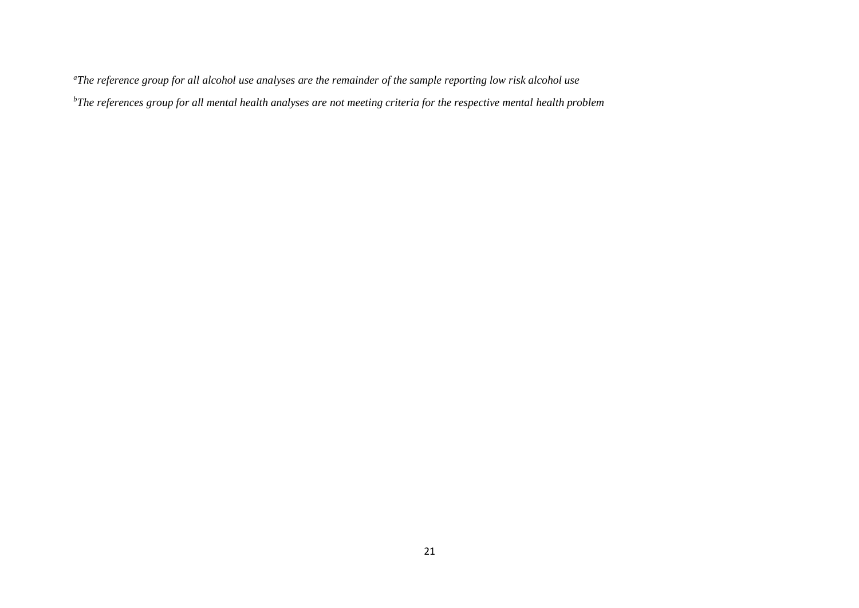*<sup>a</sup>The reference group for all alcohol use analyses are the remainder of the sample reporting low risk alcohol use bThe references group for all mental health analyses are not meeting criteria for the respective mental health problem*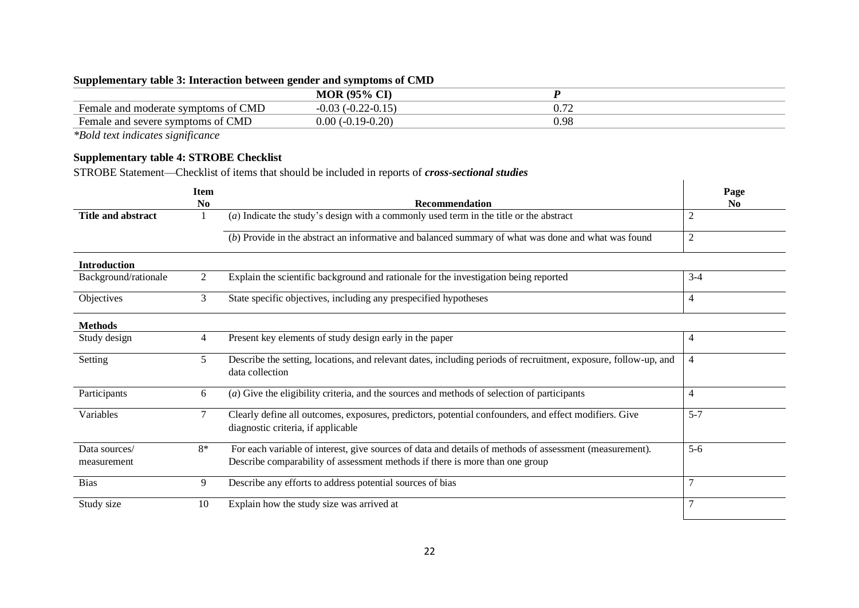## **Supplementary table 3: Interaction between gender and symptoms of CMD**

|                                                                                   | $(95\% \text{ C}1)$<br>$\sim$ T<br>MOR              |            |
|-----------------------------------------------------------------------------------|-----------------------------------------------------|------------|
| <b>CMD</b><br>$\overline{\phantom{0}}$<br>Female<br>e and moderate symptoms<br>ΟĪ | $-U.U.$<br>$\mathbf{v} \cdot \mathbf{v}$<br><i></i> | ∪. ⊥∠      |
| <b>CMD</b><br>⊦emale<br>e and severe symptoms of                                  | $\Omega$ $\Omega$<br>0.00<br>'∪.∠∪                  | ΩÇ<br>J.YO |

*\*Bold text indicates significance*

## **Supplementary table 4: STROBE Checklist**

STROBE Statement—Checklist of items that should be included in reports of *cross-sectional studies*

|                              | <b>Item</b>    |                                                                                                                                                                                         | Page           |
|------------------------------|----------------|-----------------------------------------------------------------------------------------------------------------------------------------------------------------------------------------|----------------|
|                              | N <sub>0</sub> | <b>Recommendation</b>                                                                                                                                                                   | N <sub>0</sub> |
| <b>Title and abstract</b>    |                | $(a)$ Indicate the study's design with a commonly used term in the title or the abstract                                                                                                | 2              |
|                              |                | (b) Provide in the abstract an informative and balanced summary of what was done and what was found                                                                                     | 2              |
| <b>Introduction</b>          |                |                                                                                                                                                                                         |                |
| Background/rationale         | 2              | Explain the scientific background and rationale for the investigation being reported                                                                                                    | $3-4$          |
| Objectives                   | 3              | State specific objectives, including any prespecified hypotheses                                                                                                                        | 4              |
| <b>Methods</b>               |                |                                                                                                                                                                                         |                |
| Study design                 | 4              | Present key elements of study design early in the paper                                                                                                                                 | 4              |
| Setting                      | 5              | Describe the setting, locations, and relevant dates, including periods of recruitment, exposure, follow-up, and<br>data collection                                                      | 4              |
| Participants                 | 6              | (a) Give the eligibility criteria, and the sources and methods of selection of participants                                                                                             | 4              |
| Variables                    | $\tau$         | Clearly define all outcomes, exposures, predictors, potential confounders, and effect modifiers. Give<br>diagnostic criteria, if applicable                                             | $5 - 7$        |
| Data sources/<br>measurement | $8*$           | For each variable of interest, give sources of data and details of methods of assessment (measurement).<br>Describe comparability of assessment methods if there is more than one group | $5 - 6$        |
| <b>Bias</b>                  | 9              | Describe any efforts to address potential sources of bias                                                                                                                               |                |
| Study size                   | 10             | Explain how the study size was arrived at                                                                                                                                               |                |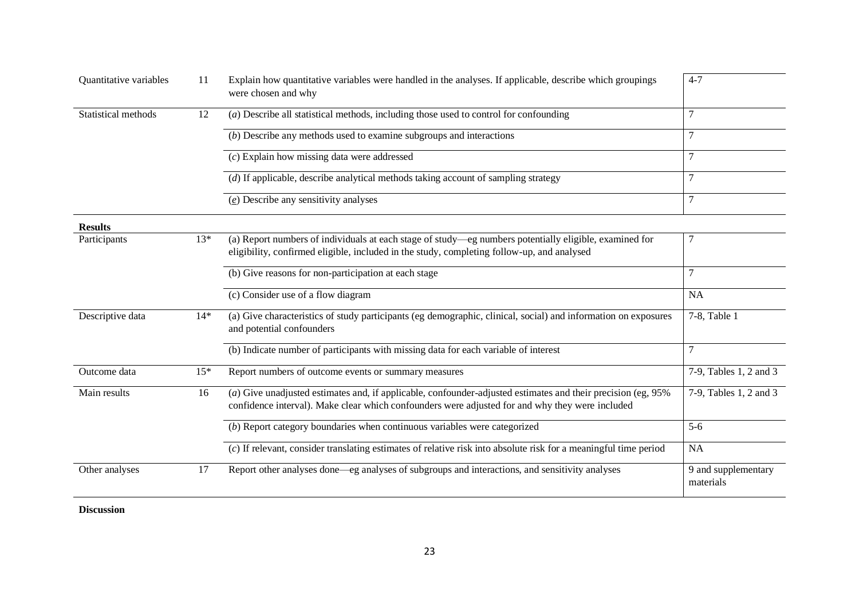| Quantitative variables | 11    | Explain how quantitative variables were handled in the analyses. If applicable, describe which groupings<br>were chosen and why                                                                                  | $4 - 7$                          |
|------------------------|-------|------------------------------------------------------------------------------------------------------------------------------------------------------------------------------------------------------------------|----------------------------------|
| Statistical methods    | 12    | (a) Describe all statistical methods, including those used to control for confounding                                                                                                                            |                                  |
|                        |       | $(b)$ Describe any methods used to examine subgroups and interactions                                                                                                                                            |                                  |
|                        |       | $(c)$ Explain how missing data were addressed                                                                                                                                                                    | 7                                |
|                        |       | (d) If applicable, describe analytical methods taking account of sampling strategy                                                                                                                               | $\tau$                           |
|                        |       | $(e)$ Describe any sensitivity analyses                                                                                                                                                                          |                                  |
| <b>Results</b>         |       |                                                                                                                                                                                                                  |                                  |
| Participants           | $13*$ | (a) Report numbers of individuals at each stage of study—eg numbers potentially eligible, examined for<br>eligibility, confirmed eligible, included in the study, completing follow-up, and analysed             |                                  |
|                        |       | (b) Give reasons for non-participation at each stage                                                                                                                                                             |                                  |
|                        |       | (c) Consider use of a flow diagram                                                                                                                                                                               | <b>NA</b>                        |
| Descriptive data       | $14*$ | (a) Give characteristics of study participants (eg demographic, clinical, social) and information on exposures<br>and potential confounders                                                                      | 7-8, Table 1                     |
|                        |       | (b) Indicate number of participants with missing data for each variable of interest                                                                                                                              | 7                                |
| Outcome data           | $15*$ | Report numbers of outcome events or summary measures                                                                                                                                                             | 7-9, Tables 1, 2 and 3           |
| Main results           | 16    | (a) Give unadjusted estimates and, if applicable, confounder-adjusted estimates and their precision (eg, 95%)<br>confidence interval). Make clear which confounders were adjusted for and why they were included | 7-9, Tables 1, 2 and 3           |
|                        |       | $(b)$ Report category boundaries when continuous variables were categorized                                                                                                                                      | $5-6$                            |
|                        |       | (c) If relevant, consider translating estimates of relative risk into absolute risk for a meaningful time period                                                                                                 | <b>NA</b>                        |
| Other analyses         | 17    | Report other analyses done—eg analyses of subgroups and interactions, and sensitivity analyses                                                                                                                   | 9 and supplementary<br>materials |

**Discussion**